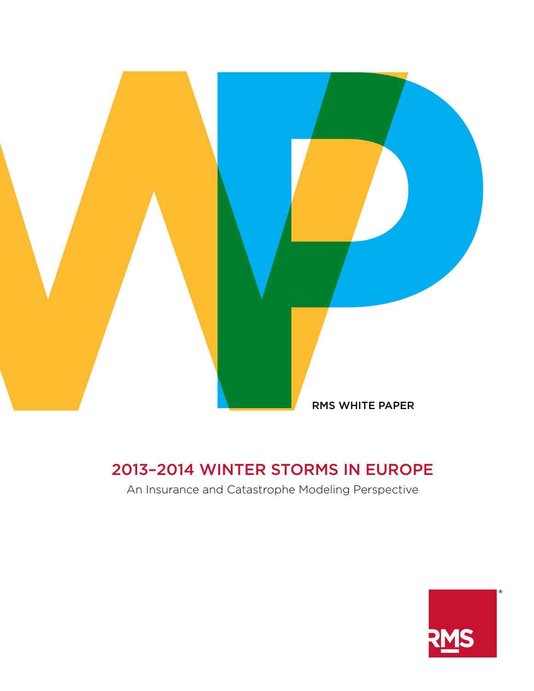

# 2013–2014 WINTER STORMS IN EUROPE

An Insurance and Catastrophe Modeling Perspective

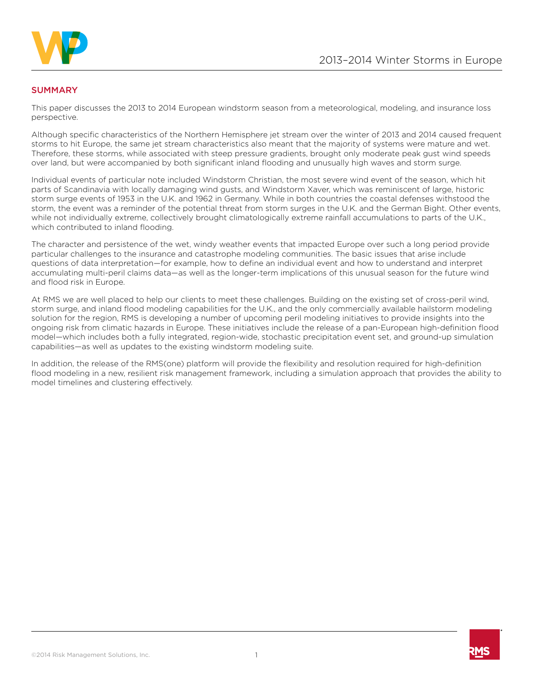

## **SUMMARY**

This paper discusses the 2013 to 2014 European windstorm season from a meteorological, modeling, and insurance loss perspective.

Although specific characteristics of the Northern Hemisphere jet stream over the winter of 2013 and 2014 caused frequent storms to hit Europe, the same jet stream characteristics also meant that the majority of systems were mature and wet. Therefore, these storms, while associated with steep pressure gradients, brought only moderate peak gust wind speeds over land, but were accompanied by both significant inland flooding and unusually high waves and storm surge.

Individual events of particular note included Windstorm Christian, the most severe wind event of the season, which hit parts of Scandinavia with locally damaging wind gusts, and Windstorm Xaver, which was reminiscent of large, historic storm surge events of 1953 in the U.K. and 1962 in Germany. While in both countries the coastal defenses withstood the storm, the event was a reminder of the potential threat from storm surges in the U.K. and the German Bight. Other events, while not individually extreme, collectively brought climatologically extreme rainfall accumulations to parts of the U.K., which contributed to inland flooding.

The character and persistence of the wet, windy weather events that impacted Europe over such a long period provide particular challenges to the insurance and catastrophe modeling communities. The basic issues that arise include questions of data interpretation—for example, how to define an individual event and how to understand and interpret accumulating multi-peril claims data—as well as the longer-term implications of this unusual season for the future wind and flood risk in Europe.

At RMS we are well placed to help our clients to meet these challenges. Building on the existing set of cross-peril wind, storm surge, and inland flood modeling capabilities for the U.K., and the only commercially available hailstorm modeling solution for the region, RMS is developing a number of upcoming peril modeling initiatives to provide insights into the ongoing risk from climatic hazards in Europe. These initiatives include the release of a pan-European high-definition flood model—which includes both a fully integrated, region-wide, stochastic precipitation event set, and ground-up simulation capabilities—as well as updates to the existing windstorm modeling suite.

In addition, the release of the RMS(one) platform will provide the flexibility and resolution required for high-definition flood modeling in a new, resilient risk management framework, including a simulation approach that provides the ability to model timelines and clustering effectively.

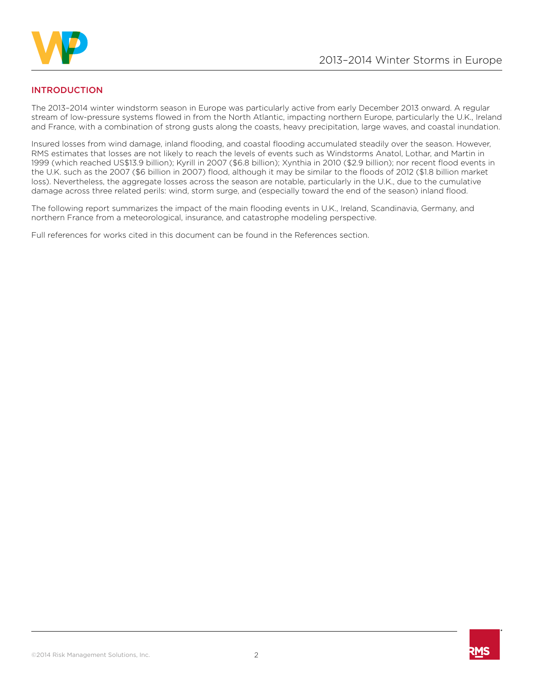

# INTRODUCTION

The 2013–2014 winter windstorm season in Europe was particularly active from early December 2013 onward. A regular stream of low-pressure systems flowed in from the North Atlantic, impacting northern Europe, particularly the U.K., Ireland and France, with a combination of strong gusts along the coasts, heavy precipitation, large waves, and coastal inundation.

Insured losses from wind damage, inland flooding, and coastal flooding accumulated steadily over the season. However, RMS estimates that losses are not likely to reach the levels of events such as Windstorms Anatol, Lothar, and Martin in 1999 (which reached US\$13.9 billion); Kyrill in 2007 (\$6.8 billion); Xynthia in 2010 (\$2.9 billion); nor recent flood events in the U.K. such as the 2007 (\$6 billion in 2007) flood, although it may be similar to the floods of 2012 (\$1.8 billion market loss). Nevertheless, the aggregate losses across the season are notable, particularly in the U.K., due to the cumulative damage across three related perils: wind, storm surge, and (especially toward the end of the season) inland flood.

The following report summarizes the impact of the main flooding events in U.K., Ireland, Scandinavia, Germany, and northern France from a meteorological, insurance, and catastrophe modeling perspective.

Full references for works cited in this document can be found in the References section.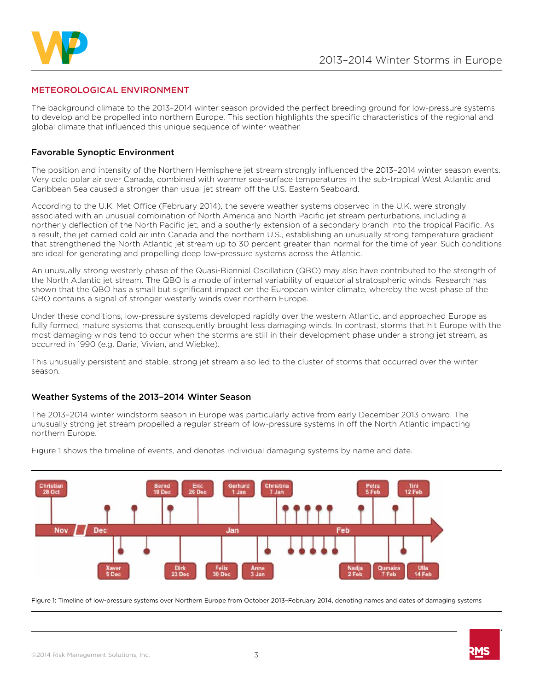

## METEOROLOGICAL ENVIRONMENT

The background climate to the 2013–2014 winter season provided the perfect breeding ground for low-pressure systems to develop and be propelled into northern Europe. This section highlights the specific characteristics of the regional and global climate that influenced this unique sequence of winter weather.

### Favorable Synoptic Environment

The position and intensity of the Northern Hemisphere jet stream strongly influenced the 2013–2014 winter season events. Very cold polar air over Canada, combined with warmer sea-surface temperatures in the sub-tropical West Atlantic and Caribbean Sea caused a stronger than usual jet stream off the U.S. Eastern Seaboard.

According to the U.K. Met Office (February 2014), the severe weather systems observed in the U.K. were strongly associated with an unusual combination of North America and North Pacific jet stream perturbations, including a northerly deflection of the North Pacific jet, and a southerly extension of a secondary branch into the tropical Pacific. As a result, the jet carried cold air into Canada and the northern U.S., establishing an unusually strong temperature gradient that strengthened the North Atlantic jet stream up to 30 percent greater than normal for the time of year. Such conditions are ideal for generating and propelling deep low-pressure systems across the Atlantic.

An unusually strong westerly phase of the Quasi-Biennial Oscillation (QBO) may also have contributed to the strength of the North Atlantic jet stream. The QBO is a mode of internal variability of equatorial stratospheric winds. Research has shown that the QBO has a small but significant impact on the European winter climate, whereby the west phase of the QBO contains a signal of stronger westerly winds over northern Europe.

Under these conditions, low-pressure systems developed rapidly over the western Atlantic, and approached Europe as fully formed, mature systems that consequently brought less damaging winds. In contrast, storms that hit Europe with the most damaging winds tend to occur when the storms are still in their development phase under a strong jet stream, as occurred in 1990 (e.g. Daria, Vivian, and Wiebke).

This unusually persistent and stable, strong jet stream also led to the cluster of storms that occurred over the winter season.

#### Weather Systems of the 2013–2014 Winter Season

The 2013–2014 winter windstorm season in Europe was particularly active from early December 2013 onward. The unusually strong jet stream propelled a regular stream of low-pressure systems in off the North Atlantic impacting northern Europe.



Figure 1 shows the timeline of events, and denotes individual damaging systems by name and date.

Figure 1: Timeline of low-pressure systems over Northern Europe from October 2013–February 2014, denoting names and dates of damaging systems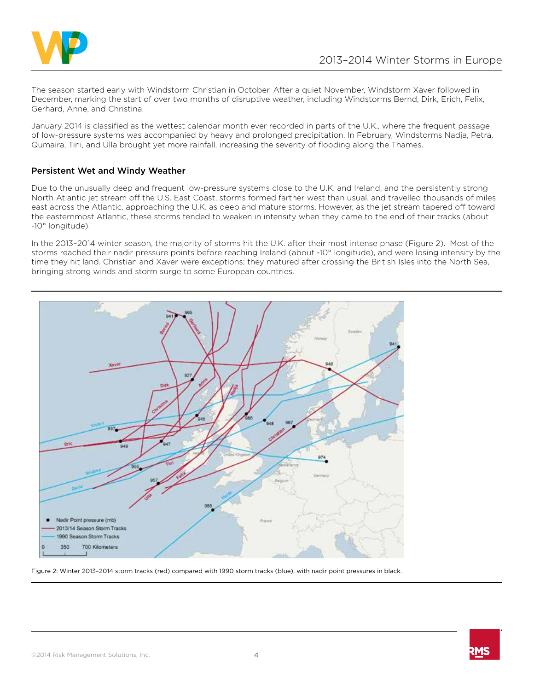

The season started early with Windstorm Christian in October. After a quiet November, Windstorm Xaver followed in December, marking the start of over two months of disruptive weather, including Windstorms Bernd, Dirk, Erich, Felix, Gerhard, Anne, and Christina.

January 2014 is classified as the wettest calendar month ever recorded in parts of the U.K., where the frequent passage of low-pressure systems was accompanied by heavy and prolonged precipitation. In February, Windstorms Nadja, Petra, Qumaira, Tini, and Ulla brought yet more rainfall, increasing the severity of flooding along the Thames.

# Persistent Wet and Windy Weather

Due to the unusually deep and frequent low-pressure systems close to the U.K. and Ireland, and the persistently strong North Atlantic jet stream off the U.S. East Coast, storms formed farther west than usual, and travelled thousands of miles east across the Atlantic, approaching the U.K. as deep and mature storms. However, as the jet stream tapered off toward the easternmost Atlantic, these storms tended to weaken in intensity when they came to the end of their tracks (about -10° longitude).

In the 2013–2014 winter season, the majority of storms hit the U.K. after their most intense phase (Figure 2). Most of the storms reached their nadir pressure points before reaching Ireland (about -10° longitude), and were losing intensity by the time they hit land. Christian and Xaver were exceptions; they matured after crossing the British Isles into the North Sea, bringing strong winds and storm surge to some European countries.



Figure 2: Winter 2013–2014 storm tracks (red) compared with 1990 storm tracks (blue), with nadir point pressures in black.

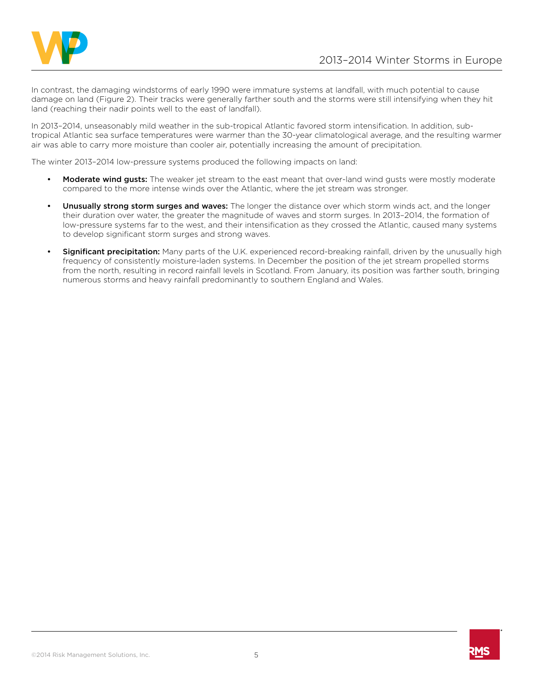

In contrast, the damaging windstorms of early 1990 were immature systems at landfall, with much potential to cause damage on land (Figure 2). Their tracks were generally farther south and the storms were still intensifying when they hit land (reaching their nadir points well to the east of landfall).

In 2013–2014, unseasonably mild weather in the sub-tropical Atlantic favored storm intensification. In addition, subtropical Atlantic sea surface temperatures were warmer than the 30-year climatological average, and the resulting warmer air was able to carry more moisture than cooler air, potentially increasing the amount of precipitation.

The winter 2013–2014 low-pressure systems produced the following impacts on land:

- **Moderate wind gusts:** The weaker jet stream to the east meant that over-land wind gusts were mostly moderate compared to the more intense winds over the Atlantic, where the jet stream was stronger.
- Unusually strong storm surges and waves: The longer the distance over which storm winds act, and the longer their duration over water, the greater the magnitude of waves and storm surges. In 2013–2014, the formation of low-pressure systems far to the west, and their intensification as they crossed the Atlantic, caused many systems to develop significant storm surges and strong waves.
- **Significant precipitation:** Many parts of the U.K. experienced record-breaking rainfall, driven by the unusually high frequency of consistently moisture-laden systems. In December the position of the jet stream propelled storms from the north, resulting in record rainfall levels in Scotland. From January, its position was farther south, bringing numerous storms and heavy rainfall predominantly to southern England and Wales.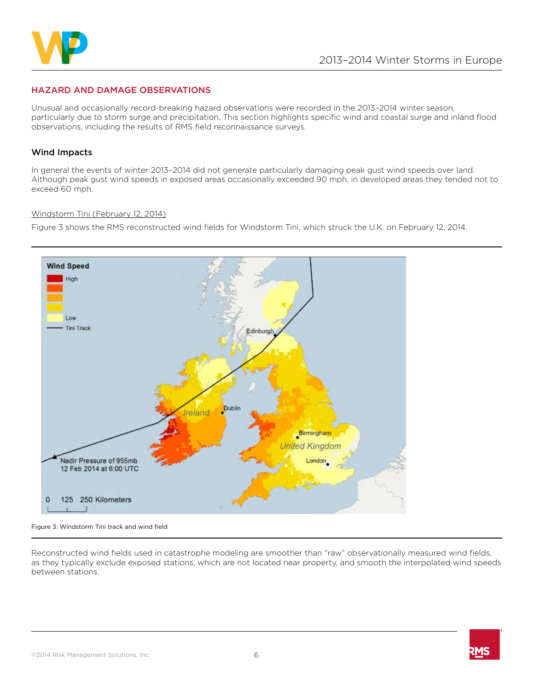

# HAZARD AND DAMAGE OBSERVATIONS

Unusual and occasionally record-breaking hazard observations were recorded in the 2013–2014 winter season, particularly due to storm surge and precipitation. This section highlights specific wind and coastal surge and inland flood observations, including the results of RMS field reconnaissance surveys.

#### Wind Impacts

In general the events of winter 2013–2014 did not generate particularly damaging peak gust wind speeds over land. Although peak gust wind speeds in exposed areas occasionally exceeded 90 mph, in developed areas they tended not to exceed 60 mph.

#### Windstorm Tini (February 12, 2014)

Figure 3 shows the RMS reconstructed wind fields for Windstorm Tini, which struck the U.K. on February 12, 2014.



Figure 3: Windstorm Tini track and wind field

Reconstructed wind fields used in catastrophe modeling are smoother than "raw" observationally measured wind fields, as they typically exclude exposed stations, which are not located near property, and smooth the interpolated wind speeds between stations.

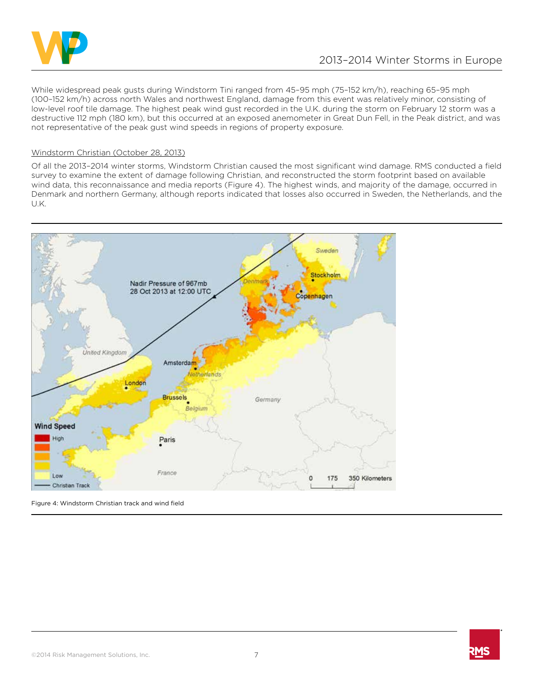

While widespread peak gusts during Windstorm Tini ranged from 45–95 mph (75–152 km/h), reaching 65–95 mph (100–152 km/h) across north Wales and northwest England, damage from this event was relatively minor, consisting of low-level roof tile damage. The highest peak wind gust recorded in the U.K. during the storm on February 12 storm was a destructive 112 mph (180 km), but this occurred at an exposed anemometer in Great Dun Fell, in the Peak district, and was not representative of the peak gust wind speeds in regions of property exposure.

#### Windstorm Christian (October 28, 2013)

Of all the 2013–2014 winter storms, Windstorm Christian caused the most significant wind damage. RMS conducted a field survey to examine the extent of damage following Christian, and reconstructed the storm footprint based on available wind data, this reconnaissance and media reports (Figure 4). The highest winds, and majority of the damage, occurred in Denmark and northern Germany, although reports indicated that losses also occurred in Sweden, the Netherlands, and the U.K.



Figure 4: Windstorm Christian track and wind field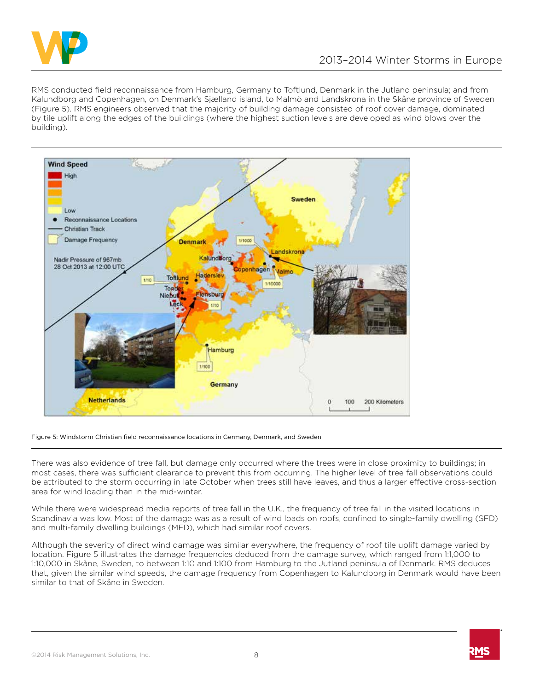

RMS conducted field reconnaissance from Hamburg, Germany to Toftlund, Denmark in the Jutland peninsula; and from Kalundborg and Copenhagen, on Denmark's Sjælland island, to Malmö and Landskrona in the Skåne province of Sweden (Figure 5). RMS engineers observed that the majority of building damage consisted of roof cover damage, dominated by tile uplift along the edges of the buildings (where the highest suction levels are developed as wind blows over the building).



Figure 5: Windstorm Christian field reconnaissance locations in Germany, Denmark, and Sweden

There was also evidence of tree fall, but damage only occurred where the trees were in close proximity to buildings; in most cases, there was sufficient clearance to prevent this from occurring. The higher level of tree fall observations could be attributed to the storm occurring in late October when trees still have leaves, and thus a larger effective cross-section area for wind loading than in the mid-winter.

While there were widespread media reports of tree fall in the U.K., the frequency of tree fall in the visited locations in Scandinavia was low. Most of the damage was as a result of wind loads on roofs, confined to single-family dwelling (SFD) and multi-family dwelling buildings (MFD), which had similar roof covers.

Although the severity of direct wind damage was similar everywhere, the frequency of roof tile uplift damage varied by location. Figure 5 illustrates the damage frequencies deduced from the damage survey, which ranged from 1:1,000 to 1:10,000 in Skåne, Sweden, to between 1:10 and 1:100 from Hamburg to the Jutland peninsula of Denmark. RMS deduces that, given the similar wind speeds, the damage frequency from Copenhagen to Kalundborg in Denmark would have been similar to that of Skåne in Sweden.

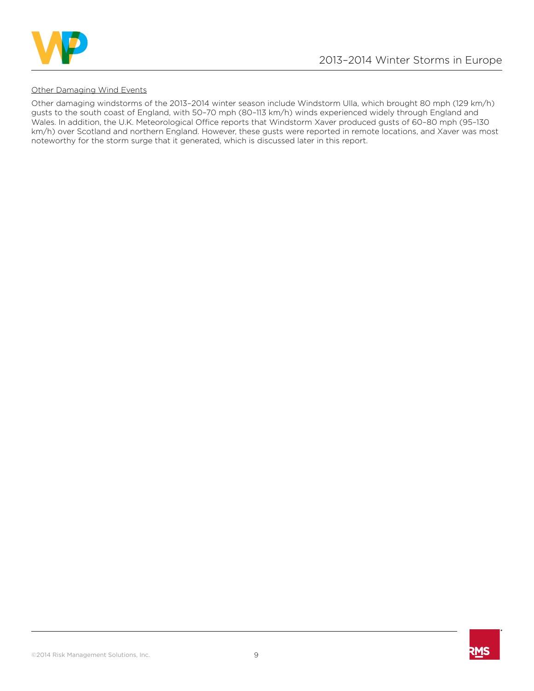

#### Other Damaging Wind Events

Other damaging windstorms of the 2013–2014 winter season include Windstorm Ulla, which brought 80 mph (129 km/h) gusts to the south coast of England, with 50–70 mph (80–113 km/h) winds experienced widely through England and Wales. In addition, the U.K. Meteorological Office reports that Windstorm Xaver produced gusts of 60–80 mph (95–130 km/h) over Scotland and northern England. However, these gusts were reported in remote locations, and Xaver was most noteworthy for the storm surge that it generated, which is discussed later in this report.

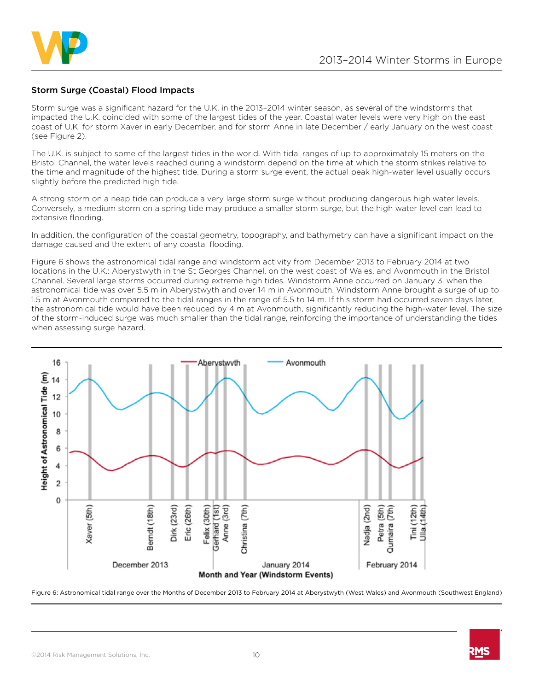

## Storm Surge (Coastal) Flood Impacts

Storm surge was a significant hazard for the U.K. in the 2013–2014 winter season, as several of the windstorms that impacted the U.K. coincided with some of the largest tides of the year. Coastal water levels were very high on the east coast of U.K. for storm Xaver in early December, and for storm Anne in late December / early January on the west coast (see Figure 2).

The U.K. is subject to some of the largest tides in the world. With tidal ranges of up to approximately 15 meters on the Bristol Channel, the water levels reached during a windstorm depend on the time at which the storm strikes relative to the time and magnitude of the highest tide. During a storm surge event, the actual peak high-water level usually occurs slightly before the predicted high tide.

A strong storm on a neap tide can produce a very large storm surge without producing dangerous high water levels. Conversely, a medium storm on a spring tide may produce a smaller storm surge, but the high water level can lead to extensive flooding.

In addition, the configuration of the coastal geometry, topography, and bathymetry can have a significant impact on the damage caused and the extent of any coastal flooding.

Figure 6 shows the astronomical tidal range and windstorm activity from December 2013 to February 2014 at two locations in the U.K.: Aberystwyth in the St Georges Channel, on the west coast of Wales, and Avonmouth in the Bristol Channel. Several large storms occurred during extreme high tides. Windstorm Anne occurred on January 3, when the astronomical tide was over 5.5 m in Aberystwyth and over 14 m in Avonmouth. Windstorm Anne brought a surge of up to 1.5 m at Avonmouth compared to the tidal ranges in the range of 5.5 to 14 m. If this storm had occurred seven days later, the astronomical tide would have been reduced by 4 m at Avonmouth, significantly reducing the high-water level. The size of the storm-induced surge was much smaller than the tidal range, reinforcing the importance of understanding the tides when assessing surge hazard.



Figure 6: Astronomical tidal range over the Months of December 2013 to February 2014 at Aberystwyth (West Wales) and Avonmouth (Southwest England)

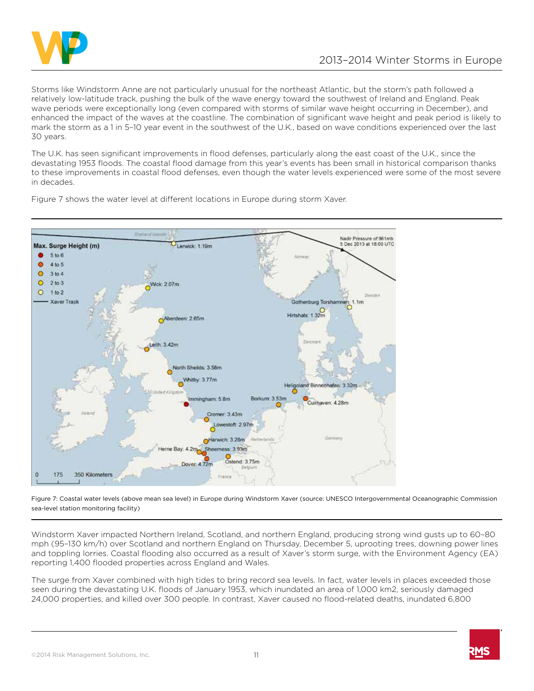

Storms like Windstorm Anne are not particularly unusual for the northeast Atlantic, but the storm's path followed a relatively low-latitude track, pushing the bulk of the wave energy toward the southwest of Ireland and England. Peak wave periods were exceptionally long (even compared with storms of similar wave height occurring in December), and enhanced the impact of the waves at the coastline. The combination of significant wave height and peak period is likely to mark the storm as a 1 in 5–10 year event in the southwest of the U.K., based on wave conditions experienced over the last 30 years.

The U.K. has seen significant improvements in flood defenses, particularly along the east coast of the U.K., since the devastating 1953 floods. The coastal flood damage from this year's events has been small in historical comparison thanks to these improvements in coastal flood defenses, even though the water levels experienced were some of the most severe in decades.

Nadir Pressure of 961mb Dec 2013 at 18:00 UTC Max. Surge Height (m) Lerwick: 1.19m  $\bullet$  $5 to 6$  $\bullet$  $4 to 5$  $\circ$  $3 to 4$  $\circ$  $2 to 3$ Wick: 2.07m  $\circ$  $1 to 2$ Gothenburg Torshamnen, 1.1m **Xaver Trac** Hirtshals: 1.32m Aberdeen: 2.65m teith: 3.42m North Sheilds: 3.58m Whitby: 3.77m Heligoland Binnen  $3.32<sub>m</sub>$ Borkum 3.53m Immingham: 5.8m ixhaven: 4.28m Cromer: 3.43m owestoft: 2.97n  $ness: 3.93n$ Ostend: 3.75m Dover, 4.72m 350 Kilometers 175

Figure 7 shows the water level at different locations in Europe during storm Xaver.

Figure 7: Coastal water levels (above mean sea level) in Europe during Windstorm Xaver (source: UNESCO Intergovernmental Oceanographic Commission sea-level station monitoring facility)

Windstorm Xaver impacted Northern Ireland, Scotland, and northern England, producing strong wind gusts up to 60–80 mph (95–130 km/h) over Scotland and northern England on Thursday, December 5, uprooting trees, downing power lines and toppling lorries. Coastal flooding also occurred as a result of Xaver's storm surge, with the Environment Agency (EA) reporting 1,400 flooded properties across England and Wales.

The surge from Xaver combined with high tides to bring record sea levels. In fact, water levels in places exceeded those seen during the devastating U.K. floods of January 1953, which inundated an area of 1,000 km2, seriously damaged 24,000 properties, and killed over 300 people. In contrast, Xaver caused no flood-related deaths, inundated 6,800

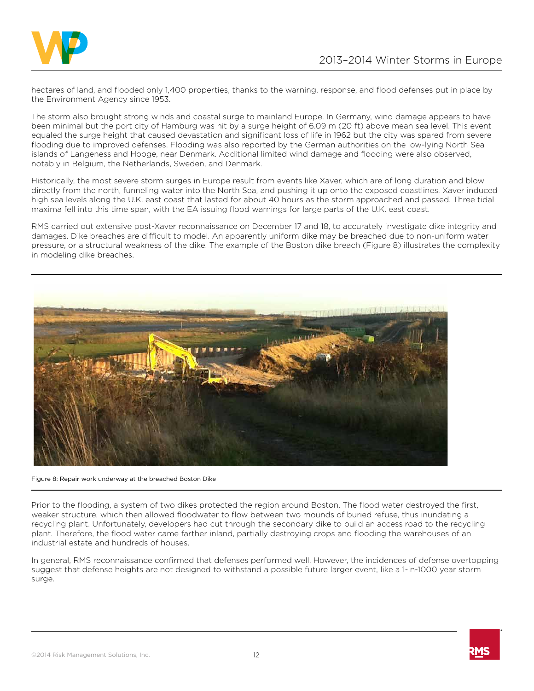

hectares of land, and flooded only 1,400 properties, thanks to the warning, response, and flood defenses put in place by the Environment Agency since 1953.

The storm also brought strong winds and coastal surge to mainland Europe. In Germany, wind damage appears to have been minimal but the port city of Hamburg was hit by a surge height of 6.09 m (20 ft) above mean sea level. This event equaled the surge height that caused devastation and significant loss of life in 1962 but the city was spared from severe flooding due to improved defenses. Flooding was also reported by the German authorities on the low-lying North Sea islands of Langeness and Hooge, near Denmark. Additional limited wind damage and flooding were also observed, notably in Belgium, the Netherlands, Sweden, and Denmark.

Historically, the most severe storm surges in Europe result from events like Xaver, which are of long duration and blow directly from the north, funneling water into the North Sea, and pushing it up onto the exposed coastlines. Xaver induced high sea levels along the U.K. east coast that lasted for about 40 hours as the storm approached and passed. Three tidal maxima fell into this time span, with the EA issuing flood warnings for large parts of the U.K. east coast.

RMS carried out extensive post-Xaver reconnaissance on December 17 and 18, to accurately investigate dike integrity and damages. Dike breaches are difficult to model. An apparently uniform dike may be breached due to non-uniform water pressure, or a structural weakness of the dike. The example of the Boston dike breach (Figure 8) illustrates the complexity in modeling dike breaches.



Figure 8: Repair work underway at the breached Boston Dike

Prior to the flooding, a system of two dikes protected the region around Boston. The flood water destroyed the first, weaker structure, which then allowed floodwater to flow between two mounds of buried refuse, thus inundating a recycling plant. Unfortunately, developers had cut through the secondary dike to build an access road to the recycling plant. Therefore, the flood water came farther inland, partially destroying crops and flooding the warehouses of an industrial estate and hundreds of houses.

In general, RMS reconnaissance confirmed that defenses performed well. However, the incidences of defense overtopping suggest that defense heights are not designed to withstand a possible future larger event, like a 1-in-1000 year storm surge.

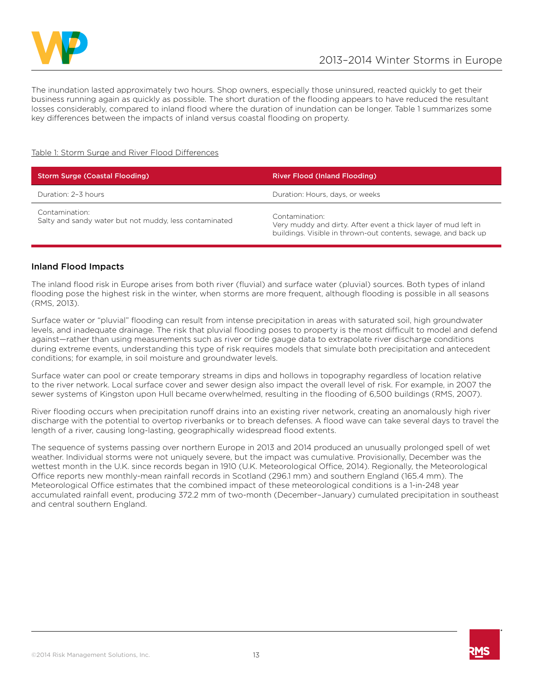

The inundation lasted approximately two hours. Shop owners, especially those uninsured, reacted quickly to get their business running again as quickly as possible. The short duration of the flooding appears to have reduced the resultant losses considerably, compared to inland flood where the duration of inundation can be longer. Table 1 summarizes some key differences between the impacts of inland versus coastal flooding on property.

#### Table 1: Storm Surge and River Flood Differences

| <b>Storm Surge (Coastal Flooding)</b>                                    | <b>River Flood (Inland Flooding)</b>                                                                                                               |  |
|--------------------------------------------------------------------------|----------------------------------------------------------------------------------------------------------------------------------------------------|--|
| Duration: 2-3 hours                                                      | Duration: Hours, days, or weeks                                                                                                                    |  |
| Contamination:<br>Salty and sandy water but not muddy, less contaminated | Contamination:<br>Very muddy and dirty. After event a thick layer of mud left in<br>buildings. Visible in thrown-out contents, sewage, and back up |  |

## Inland Flood Impacts

The inland flood risk in Europe arises from both river (fluvial) and surface water (pluvial) sources. Both types of inland flooding pose the highest risk in the winter, when storms are more frequent, although flooding is possible in all seasons (RMS, 2013).

Surface water or "pluvial" flooding can result from intense precipitation in areas with saturated soil, high groundwater levels, and inadequate drainage. The risk that pluvial flooding poses to property is the most difficult to model and defend against—rather than using measurements such as river or tide gauge data to extrapolate river discharge conditions during extreme events, understanding this type of risk requires models that simulate both precipitation and antecedent conditions; for example, in soil moisture and groundwater levels.

Surface water can pool or create temporary streams in dips and hollows in topography regardless of location relative to the river network. Local surface cover and sewer design also impact the overall level of risk. For example, in 2007 the sewer systems of Kingston upon Hull became overwhelmed, resulting in the flooding of 6,500 buildings (RMS, 2007).

River flooding occurs when precipitation runoff drains into an existing river network, creating an anomalously high river discharge with the potential to overtop riverbanks or to breach defenses. A flood wave can take several days to travel the length of a river, causing long-lasting, geographically widespread flood extents.

The sequence of systems passing over northern Europe in 2013 and 2014 produced an unusually prolonged spell of wet weather. Individual storms were not uniquely severe, but the impact was cumulative. Provisionally, December was the wettest month in the U.K. since records began in 1910 (U.K. Meteorological Office, 2014). Regionally, the Meteorological Office reports new monthly-mean rainfall records in Scotland (296.1 mm) and southern England (165.4 mm). The Meteorological Office estimates that the combined impact of these meteorological conditions is a 1-in-248 year accumulated rainfall event, producing 372.2 mm of two-month (December–January) cumulated precipitation in southeast and central southern England.

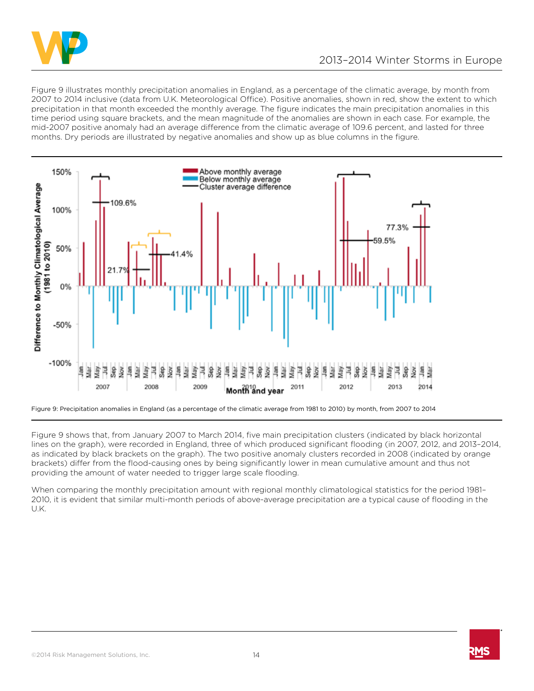

Figure 9 illustrates monthly precipitation anomalies in England, as a percentage of the climatic average, by month from 2007 to 2014 inclusive (data from U.K. Meteorological Office). Positive anomalies, shown in red, show the extent to which precipitation in that month exceeded the monthly average. The figure indicates the main precipitation anomalies in this time period using square brackets, and the mean magnitude of the anomalies are shown in each case. For example, the mid-2007 positive anomaly had an average difference from the climatic average of 109.6 percent, and lasted for three months. Dry periods are illustrated by negative anomalies and show up as blue columns in the figure.



Figure 9: Precipitation anomalies in England (as a percentage of the climatic average from 1981 to 2010) by month, from 2007 to 2014

Figure 9 shows that, from January 2007 to March 2014, five main precipitation clusters (indicated by black horizontal lines on the graph), were recorded in England, three of which produced significant flooding (in 2007, 2012, and 2013–2014, as indicated by black brackets on the graph). The two positive anomaly clusters recorded in 2008 (indicated by orange brackets) differ from the flood-causing ones by being significantly lower in mean cumulative amount and thus not providing the amount of water needed to trigger large scale flooding.

When comparing the monthly precipitation amount with regional monthly climatological statistics for the period 1981– 2010, it is evident that similar multi-month periods of above-average precipitation are a typical cause of flooding in the U.K.

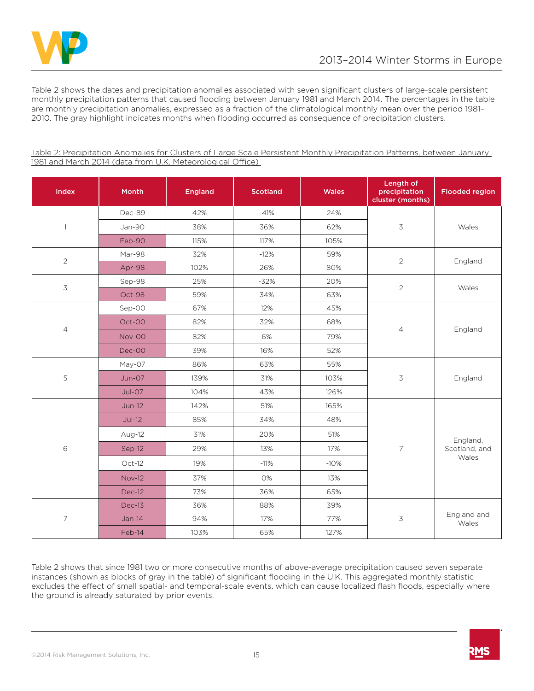

Table 2 shows the dates and precipitation anomalies associated with seven significant clusters of large-scale persistent monthly precipitation patterns that caused flooding between January 1981 and March 2014. The percentages in the table are monthly precipitation anomalies, expressed as a fraction of the climatological monthly mean over the period 1981– 2010. The gray highlight indicates months when flooding occurred as consequence of precipitation clusters.

| Index                    | Month         | <b>England</b> | <b>Scotland</b> | <b>Wales</b> | Length of<br>precipitation<br>cluster (months) | <b>Flooded region</b>              |
|--------------------------|---------------|----------------|-----------------|--------------|------------------------------------------------|------------------------------------|
| $\mathbf{1}$             | Dec-89        | 42%            | $-41%$          | 24%          | $\overline{3}$                                 | Wales                              |
|                          | Jan-90        | 38%            | 36%             | 62%          |                                                |                                    |
|                          | Feb-90        | 115%           | 117%            | 105%         |                                                |                                    |
| $\overline{2}$           | Mar-98        | 32%            | $-12%$          | 59%          | 2                                              | England                            |
|                          | Apr-98        | 102%           | 26%             | 80%          |                                                |                                    |
| 3                        | Sep-98        | 25%            | $-32%$          | 20%          | $\overline{2}$                                 | Wales                              |
|                          | Oct-98        | 59%            | 34%             | 63%          |                                                |                                    |
| $\overline{4}$           | Sep-00        | 67%            | 12%             | 45%          | $\overline{4}$                                 | England                            |
|                          | Oct-00        | 82%            | 32%             | 68%          |                                                |                                    |
|                          | Nov-00        | 82%            | 6%              | 79%          |                                                |                                    |
|                          | Dec-00        | 39%            | 16%             | 52%          |                                                |                                    |
| 5                        | May-07        | 86%            | 63%             | 55%          | 3                                              | England                            |
|                          | Jun-07        | 139%           | 31%             | 103%         |                                                |                                    |
|                          | Jul-07        | 104%           | 43%             | 126%         |                                                |                                    |
| $\,$ 6                   | $Jun-12$      | 142%           | 51%             | 165%         | $\overline{7}$                                 | England,<br>Scotland, and<br>Wales |
|                          | $Jul-12$      | 85%            | 34%             | 48%          |                                                |                                    |
|                          | Aug-12        | 31%            | 20%             | 51%          |                                                |                                    |
|                          | Sep-12        | 29%            | 13%             | 17%          |                                                |                                    |
|                          | $Oct-12$      | 19%            | $-11%$          | $-10%$       |                                                |                                    |
|                          | <b>Nov-12</b> | 37%            | 0%              | 13%          |                                                |                                    |
|                          | Dec-12        | 73%            | 36%             | 65%          |                                                |                                    |
| $\overline{\phantom{a}}$ | Dec-13        | 36%            | 88%             | 39%          | $\mathfrak{Z}$                                 | England and<br>Wales               |
|                          | $Jan-14$      | 94%            | 17%             | 77%          |                                                |                                    |
|                          | Feb-14        | 103%           | 65%             | 127%         |                                                |                                    |

Table 2: Precipitation Anomalies for Clusters of Large Scale Persistent Monthly Precipitation Patterns, between January 1981 and March 2014 (data from U.K. Meteorological Office)

Table 2 shows that since 1981 two or more consecutive months of above-average precipitation caused seven separate instances (shown as blocks of gray in the table) of significant flooding in the U.K. This aggregated monthly statistic excludes the effect of small spatial- and temporal-scale events, which can cause localized flash floods, especially where the ground is already saturated by prior events.



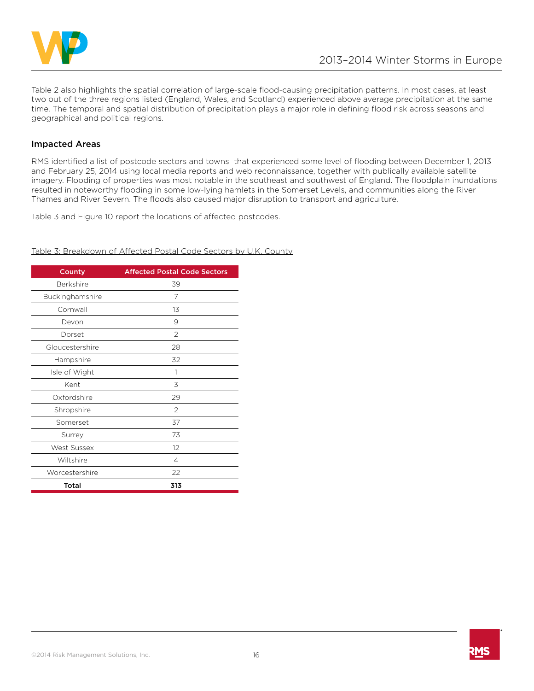

Table 2 also highlights the spatial correlation of large-scale flood-causing precipitation patterns. In most cases, at least two out of the three regions listed (England, Wales, and Scotland) experienced above average precipitation at the same time. The temporal and spatial distribution of precipitation plays a major role in defining flood risk across seasons and geographical and political regions.

## Impacted Areas

RMS identified a list of postcode sectors and towns that experienced some level of flooding between December 1, 2013 and February 25, 2014 using local media reports and web reconnaissance, together with publically available satellite imagery. Flooding of properties was most notable in the southeast and southwest of England. The floodplain inundations resulted in noteworthy flooding in some low-lying hamlets in the Somerset Levels, and communities along the River Thames and River Severn. The floods also caused major disruption to transport and agriculture.

Table 3 and Figure 10 report the locations of affected postcodes.

Table 3: Breakdown of Affected Postal Code Sectors by U.K. County

| County           | <b>Affected Postal Code Sectors</b> |  |  |
|------------------|-------------------------------------|--|--|
| <b>Berkshire</b> | 39                                  |  |  |
| Buckinghamshire  | 7                                   |  |  |
| Cornwall         | 13                                  |  |  |
| Devon            | 9                                   |  |  |
| Dorset           | $\mathfrak{D}$                      |  |  |
| Gloucestershire  | 28                                  |  |  |
| Hampshire        | 32                                  |  |  |
| Isle of Wight    | 1                                   |  |  |
| Kent             | 3                                   |  |  |
| Oxfordshire      | 29                                  |  |  |
| Shropshire       | $\mathfrak{D}$                      |  |  |
| Somerset         | 37                                  |  |  |
| Surrey           | 73                                  |  |  |
| West Sussex      | 12                                  |  |  |
| Wiltshire        | 4                                   |  |  |
| Worcestershire   | 22                                  |  |  |
| Total            | 313                                 |  |  |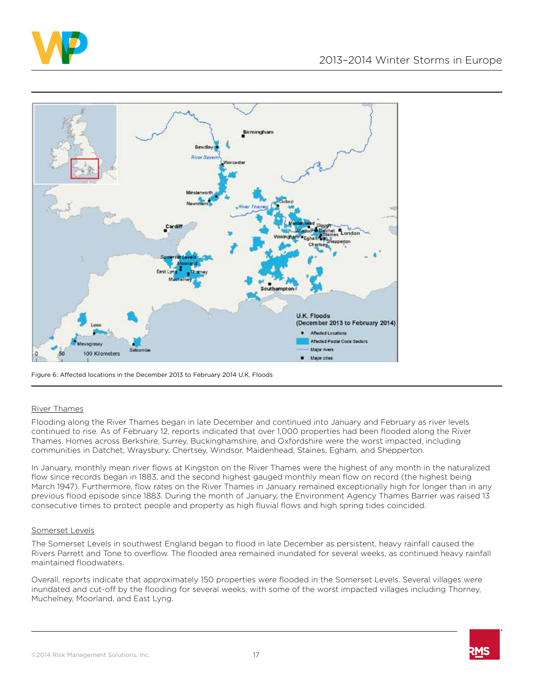



Figure 6: Affected locations in the December 2013 to February 2014 U.K. Floods

#### River Thames

Flooding along the River Thames began in late December and continued into January and February as river levels continued to rise. As of February 12, reports indicated that over 1,000 properties had been flooded along the River Thames. Homes across Berkshire, Surrey, Buckinghamshire, and Oxfordshire were the worst impacted, including communities in Datchet, Wraysbury, Chertsey, Windsor, Maidenhead, Staines, Egham, and Shepperton.

In January, monthly mean river flows at Kingston on the River Thames were the highest of any month in the naturalized flow since records began in 1883, and the second highest gauged monthly mean flow on record (the highest being March 1947). Furthermore, flow rates on the River Thames in January remained exceptionally high for longer than in any previous flood episode since 1883. During the month of January, the Environment Agency Thames Barrier was raised 13 consecutive times to protect people and property as high fluvial flows and high spring tides coincided.

#### Somerset Levels

The Somerset Levels in southwest England began to flood in late December as persistent, heavy rainfall caused the Rivers Parrett and Tone to overflow. The flooded area remained inundated for several weeks, as continued heavy rainfall maintained floodwaters.

Overall, reports indicate that approximately 150 properties were flooded in the Somerset Levels. Several villages were inundated and cut-off by the flooding for several weeks, with some of the worst impacted villages including Thorney, Muchelney, Moorland, and East Lyng.

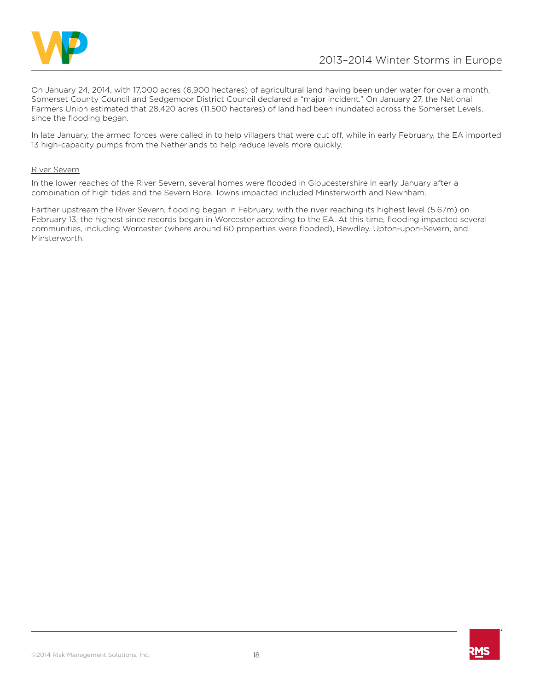

On January 24, 2014, with 17,000 acres (6,900 hectares) of agricultural land having been under water for over a month, Somerset County Council and Sedgemoor District Council declared a "major incident." On January 27, the National Farmers Union estimated that 28,420 acres (11,500 hectares) of land had been inundated across the Somerset Levels, since the flooding began.

In late January, the armed forces were called in to help villagers that were cut off, while in early February, the EA imported 13 high-capacity pumps from the Netherlands to help reduce levels more quickly.

#### River Severn

In the lower reaches of the River Severn, several homes were flooded in Gloucestershire in early January after a combination of high tides and the Severn Bore. Towns impacted included Minsterworth and Newnham.

Farther upstream the River Severn, flooding began in February, with the river reaching its highest level (5.67m) on February 13, the highest since records began in Worcester according to the EA. At this time, flooding impacted several communities, including Worcester (where around 60 properties were flooded), Bewdley, Upton-upon-Severn, and Minsterworth.

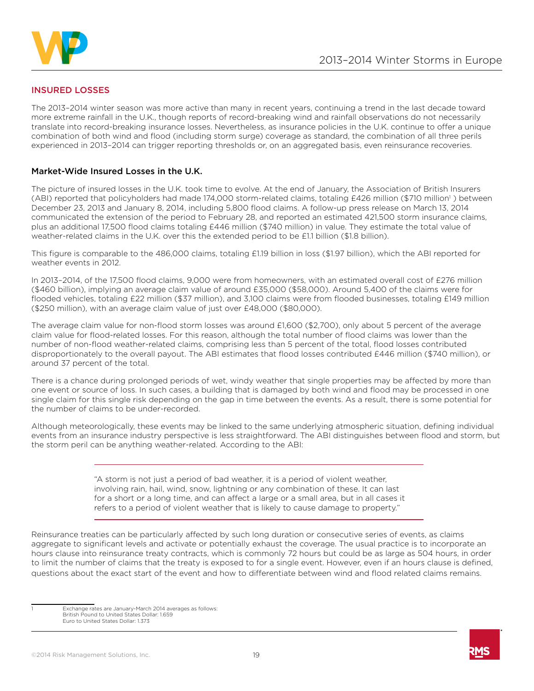

# INSURED LOSSES

The 2013–2014 winter season was more active than many in recent years, continuing a trend in the last decade toward more extreme rainfall in the U.K., though reports of record-breaking wind and rainfall observations do not necessarily translate into record-breaking insurance losses. Nevertheless, as insurance policies in the U.K. continue to offer a unique combination of both wind and flood (including storm surge) coverage as standard, the combination of all three perils experienced in 2013–2014 can trigger reporting thresholds or, on an aggregated basis, even reinsurance recoveries.

## Market-Wide Insured Losses in the U.K.

The picture of insured losses in the U.K. took time to evolve. At the end of January, the Association of British Insurers (ABI) reported that policyholders had made 174,000 storm-related claims, totaling £426 million (\$710 million<sup>1</sup>) between December 23, 2013 and January 8, 2014, including 5,800 flood claims. A follow-up press release on March 13, 2014 communicated the extension of the period to February 28, and reported an estimated 421,500 storm insurance claims, plus an additional 17,500 flood claims totaling £446 million (\$740 million) in value. They estimate the total value of weather-related claims in the U.K. over this the extended period to be £1.1 billion (\$1.8 billion).

This figure is comparable to the 486,000 claims, totaling £1.19 billion in loss (\$1.97 billion), which the ABI reported for weather events in 2012.

In 2013–2014, of the 17,500 flood claims, 9,000 were from homeowners, with an estimated overall cost of £276 million (\$460 billion), implying an average claim value of around £35,000 (\$58,000). Around 5,400 of the claims were for flooded vehicles, totaling £22 million (\$37 million), and 3,100 claims were from flooded businesses, totaling £149 million (\$250 million), with an average claim value of just over £48,000 (\$80,000).

The average claim value for non-flood storm losses was around £1,600 (\$2,700), only about 5 percent of the average claim value for flood-related losses. For this reason, although the total number of flood claims was lower than the number of non-flood weather-related claims, comprising less than 5 percent of the total, flood losses contributed disproportionately to the overall payout. The ABI estimates that flood losses contributed £446 million (\$740 million), or around 37 percent of the total.

There is a chance during prolonged periods of wet, windy weather that single properties may be affected by more than one event or source of loss. In such cases, a building that is damaged by both wind and flood may be processed in one single claim for this single risk depending on the gap in time between the events. As a result, there is some potential for the number of claims to be under-recorded.

Although meteorologically, these events may be linked to the same underlying atmospheric situation, defining individual events from an insurance industry perspective is less straightforward. The ABI distinguishes between flood and storm, but the storm peril can be anything weather-related. According to the ABI:

> "A storm is not just a period of bad weather, it is a period of violent weather, involving rain, hail, wind, snow, lightning or any combination of these. It can last for a short or a long time, and can affect a large or a small area, but in all cases it refers to a period of violent weather that is likely to cause damage to property."

Reinsurance treaties can be particularly affected by such long duration or consecutive series of events, as claims aggregate to significant levels and activate or potentially exhaust the coverage. The usual practice is to incorporate an hours clause into reinsurance treaty contracts, which is commonly 72 hours but could be as large as 504 hours, in order to limit the number of claims that the treaty is exposed to for a single event. However, even if an hours clause is defined, questions about the exact start of the event and how to differentiate between wind and flood related claims remains.



Exchange rates are January-March 2014 averages as follows: British Pound to United States Dollar: 1.659 Euro to United States Dollar: 1.373

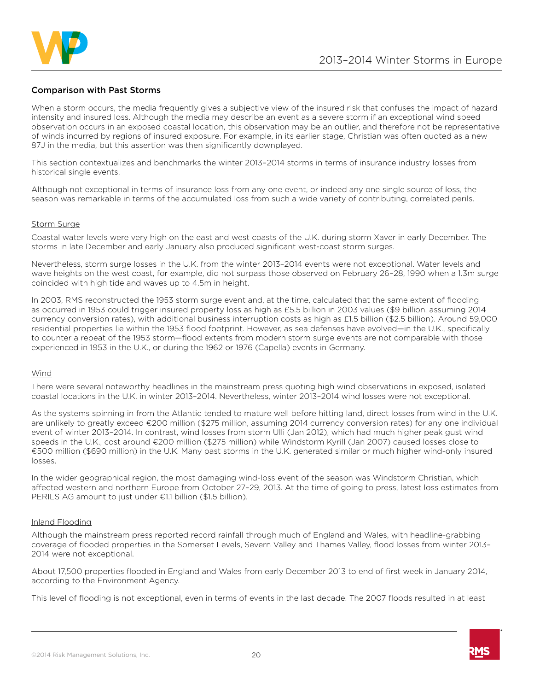

### Comparison with Past Storms

When a storm occurs, the media frequently gives a subjective view of the insured risk that confuses the impact of hazard intensity and insured loss. Although the media may describe an event as a severe storm if an exceptional wind speed observation occurs in an exposed coastal location, this observation may be an outlier, and therefore not be representative of winds incurred by regions of insured exposure. For example, in its earlier stage, Christian was often quoted as a new 87J in the media, but this assertion was then significantly downplayed.

This section contextualizes and benchmarks the winter 2013–2014 storms in terms of insurance industry losses from historical single events.

Although not exceptional in terms of insurance loss from any one event, or indeed any one single source of loss, the season was remarkable in terms of the accumulated loss from such a wide variety of contributing, correlated perils.

#### Storm Surge

Coastal water levels were very high on the east and west coasts of the U.K. during storm Xaver in early December. The storms in late December and early January also produced significant west-coast storm surges.

Nevertheless, storm surge losses in the U.K. from the winter 2013–2014 events were not exceptional. Water levels and wave heights on the west coast, for example, did not surpass those observed on February 26–28, 1990 when a 1.3m surge coincided with high tide and waves up to 4.5m in height.

In 2003, RMS reconstructed the 1953 storm surge event and, at the time, calculated that the same extent of flooding as occurred in 1953 could trigger insured property loss as high as £5.5 billion in 2003 values (\$9 billion, assuming 2014 currency conversion rates), with additional business interruption costs as high as £1.5 billion (\$2.5 billion). Around 59,000 residential properties lie within the 1953 flood footprint. However, as sea defenses have evolved—in the U.K., specifically to counter a repeat of the 1953 storm—flood extents from modern storm surge events are not comparable with those experienced in 1953 in the U.K., or during the 1962 or 1976 (Capella) events in Germany.

#### Wind

There were several noteworthy headlines in the mainstream press quoting high wind observations in exposed, isolated coastal locations in the U.K. in winter 2013–2014. Nevertheless, winter 2013–2014 wind losses were not exceptional.

As the systems spinning in from the Atlantic tended to mature well before hitting land, direct losses from wind in the U.K. are unlikely to greatly exceed €200 million (\$275 million, assuming 2014 currency conversion rates) for any one individual event of winter 2013–2014. In contrast, wind losses from storm Ulli (Jan 2012), which had much higher peak gust wind speeds in the U.K., cost around €200 million (\$275 million) while Windstorm Kyrill (Jan 2007) caused losses close to €500 million (\$690 million) in the U.K. Many past storms in the U.K. generated similar or much higher wind-only insured losses.

In the wider geographical region, the most damaging wind-loss event of the season was Windstorm Christian, which affected western and northern Europe from October 27–29, 2013. At the time of going to press, latest loss estimates from PERILS AG amount to just under €1.1 billion (\$1.5 billion).

## Inland Flooding

Although the mainstream press reported record rainfall through much of England and Wales, with headline-grabbing coverage of flooded properties in the Somerset Levels, Severn Valley and Thames Valley, flood losses from winter 2013– 2014 were not exceptional.

About 17,500 properties flooded in England and Wales from early December 2013 to end of first week in January 2014, according to the Environment Agency.

This level of flooding is not exceptional, even in terms of events in the last decade. The 2007 floods resulted in at least

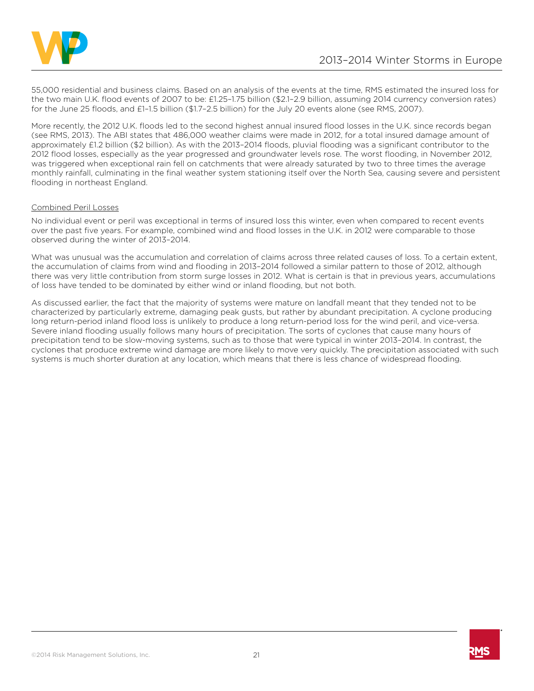

55,000 residential and business claims. Based on an analysis of the events at the time, RMS estimated the insured loss for the two main U.K. flood events of 2007 to be: £1.25–1.75 billion (\$2.1–2.9 billion, assuming 2014 currency conversion rates) for the June 25 floods, and £1–1.5 billion (\$1.7–2.5 billion) for the July 20 events alone (see RMS, 2007).

More recently, the 2012 U.K. floods led to the second highest annual insured flood losses in the U.K. since records began (see RMS, 2013). The ABI states that 486,000 weather claims were made in 2012, for a total insured damage amount of approximately £1.2 billion (\$2 billion). As with the 2013–2014 floods, pluvial flooding was a significant contributor to the 2012 flood losses, especially as the year progressed and groundwater levels rose. The worst flooding, in November 2012, was triggered when exceptional rain fell on catchments that were already saturated by two to three times the average monthly rainfall, culminating in the final weather system stationing itself over the North Sea, causing severe and persistent flooding in northeast England.

#### Combined Peril Losses

No individual event or peril was exceptional in terms of insured loss this winter, even when compared to recent events over the past five years. For example, combined wind and flood losses in the U.K. in 2012 were comparable to those observed during the winter of 2013–2014.

What was unusual was the accumulation and correlation of claims across three related causes of loss. To a certain extent, the accumulation of claims from wind and flooding in 2013–2014 followed a similar pattern to those of 2012, although there was very little contribution from storm surge losses in 2012. What is certain is that in previous years, accumulations of loss have tended to be dominated by either wind or inland flooding, but not both.

As discussed earlier, the fact that the majority of systems were mature on landfall meant that they tended not to be characterized by particularly extreme, damaging peak gusts, but rather by abundant precipitation. A cyclone producing long return-period inland flood loss is unlikely to produce a long return-period loss for the wind peril, and vice-versa. Severe inland flooding usually follows many hours of precipitation. The sorts of cyclones that cause many hours of precipitation tend to be slow-moving systems, such as to those that were typical in winter 2013–2014. In contrast, the cyclones that produce extreme wind damage are more likely to move very quickly. The precipitation associated with such systems is much shorter duration at any location, which means that there is less chance of widespread flooding.

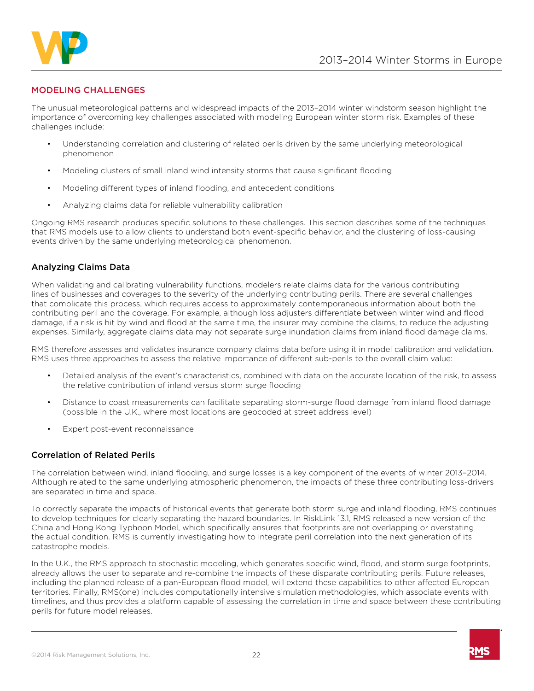

# MODELING CHALLENGES

The unusual meteorological patterns and widespread impacts of the 2013–2014 winter windstorm season highlight the importance of overcoming key challenges associated with modeling European winter storm risk. Examples of these challenges include:

- Understanding correlation and clustering of related perils driven by the same underlying meteorological phenomenon
- Modeling clusters of small inland wind intensity storms that cause significant flooding
- Modeling different types of inland flooding, and antecedent conditions
- Analyzing claims data for reliable vulnerability calibration

Ongoing RMS research produces specific solutions to these challenges. This section describes some of the techniques that RMS models use to allow clients to understand both event-specific behavior, and the clustering of loss-causing events driven by the same underlying meteorological phenomenon.

# Analyzing Claims Data

When validating and calibrating vulnerability functions, modelers relate claims data for the various contributing lines of businesses and coverages to the severity of the underlying contributing perils. There are several challenges that complicate this process, which requires access to approximately contemporaneous information about both the contributing peril and the coverage. For example, although loss adjusters differentiate between winter wind and flood damage, if a risk is hit by wind and flood at the same time, the insurer may combine the claims, to reduce the adjusting expenses. Similarly, aggregate claims data may not separate surge inundation claims from inland flood damage claims.

RMS therefore assesses and validates insurance company claims data before using it in model calibration and validation. RMS uses three approaches to assess the relative importance of different sub-perils to the overall claim value:

- Detailed analysis of the event's characteristics, combined with data on the accurate location of the risk, to assess the relative contribution of inland versus storm surge flooding
- Distance to coast measurements can facilitate separating storm-surge flood damage from inland flood damage (possible in the U.K., where most locations are geocoded at street address level)
- Expert post-event reconnaissance

#### Correlation of Related Perils

The correlation between wind, inland flooding, and surge losses is a key component of the events of winter 2013–2014. Although related to the same underlying atmospheric phenomenon, the impacts of these three contributing loss-drivers are separated in time and space.

To correctly separate the impacts of historical events that generate both storm surge and inland flooding, RMS continues to develop techniques for clearly separating the hazard boundaries. In RiskLink 13.1, RMS released a new version of the China and Hong Kong Typhoon Model, which specifically ensures that footprints are not overlapping or overstating the actual condition. RMS is currently investigating how to integrate peril correlation into the next generation of its catastrophe models.

In the U.K., the RMS approach to stochastic modeling, which generates specific wind, flood, and storm surge footprints, already allows the user to separate and re-combine the impacts of these disparate contributing perils. Future releases, including the planned release of a pan-European flood model, will extend these capabilities to other affected European territories. Finally, RMS(one) includes computationally intensive simulation methodologies, which associate events with timelines, and thus provides a platform capable of assessing the correlation in time and space between these contributing perils for future model releases.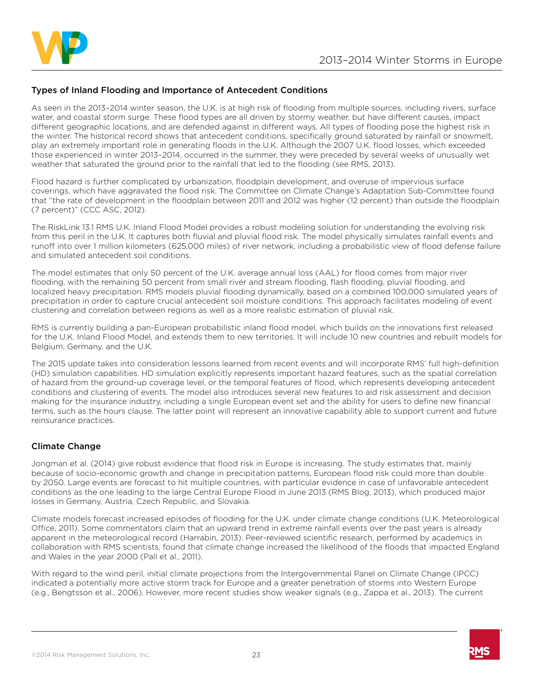

## Types of Inland Flooding and Importance of Antecedent Conditions

As seen in the 2013–2014 winter season, the U.K. is at high risk of flooding from multiple sources, including rivers, surface water, and coastal storm surge. These flood types are all driven by stormy weather, but have different causes, impact different geographic locations, and are defended against in different ways. All types of flooding pose the highest risk in the winter. The historical record shows that antecedent conditions, specifically ground saturated by rainfall or snowmelt, play an extremely important role in generating floods in the U.K. Although the 2007 U.K. flood losses, which exceeded those experienced in winter 2013–2014, occurred in the summer, they were preceded by several weeks of unusually wet weather that saturated the ground prior to the rainfall that led to the flooding (see RMS, 2013).

Flood hazard is further complicated by urbanization, floodplain development, and overuse of impervious surface coverings, which have aggravated the flood risk. The Committee on Climate Change's Adaptation Sub-Committee found that "the rate of development in the floodplain between 2011 and 2012 was higher (12 percent) than outside the floodplain (7 percent)" (CCC ASC, 2012).

The RiskLink 13.1 RMS U.K. Inland Flood Model provides a robust modeling solution for understanding the evolving risk from this peril in the U.K. It captures both fluvial and pluvial flood risk. The model physically simulates rainfall events and runoff into over 1 million kilometers (625,000 miles) of river network, including a probabilistic view of flood defense failure and simulated antecedent soil conditions.

The model estimates that only 50 percent of the U.K. average annual loss (AAL) for flood comes from major river flooding, with the remaining 50 percent from small river and stream flooding, flash flooding, pluvial flooding, and localized heavy precipitation. RMS models pluvial flooding dynamically, based on a combined 100,000 simulated years of precipitation in order to capture crucial antecedent soil moisture conditions. This approach facilitates modeling of event clustering and correlation between regions as well as a more realistic estimation of pluvial risk.

RMS is currently building a pan-European probabilistic inland flood model, which builds on the innovations first released for the U.K. Inland Flood Model, and extends them to new territories. It will include 10 new countries and rebuilt models for Belgium, Germany, and the U.K.

The 2015 update takes into consideration lessons learned from recent events and will incorporate RMS' full high-definition (HD) simulation capabilities. HD simulation explicitly represents important hazard features, such as the spatial correlation of hazard from the ground-up coverage level, or the temporal features of flood, which represents developing antecedent conditions and clustering of events. The model also introduces several new features to aid risk assessment and decision making for the insurance industry, including a single European event set and the ability for users to define new financial terms, such as the hours clause. The latter point will represent an innovative capability able to support current and future reinsurance practices.

# Climate Change

Jongman et al. (2014) give robust evidence that flood risk in Europe is increasing. The study estimates that, mainly because of socio-economic growth and change in precipitation patterns, European flood risk could more than double by 2050. Large events are forecast to hit multiple countries, with particular evidence in case of unfavorable antecedent conditions as the one leading to the large Central Europe Flood in June 2013 (RMS Blog, 2013), which produced major losses in Germany, Austria, Czech Republic, and Slovakia.

Climate models forecast increased episodes of flooding for the U.K. under climate change conditions (U.K. Meteorological Office, 2011). Some commentators claim that an upward trend in extreme rainfall events over the past years is already apparent in the meteorological record (Harrabin, 2013). Peer-reviewed scientific research, performed by academics in collaboration with RMS scientists, found that climate change increased the likelihood of the floods that impacted England and Wales in the year 2000 (Pall et al., 2011).

With regard to the wind peril, initial climate projections from the Intergovernmental Panel on Climate Change (IPCC) indicated a potentially more active storm track for Europe and a greater penetration of storms into Western Europe (e.g., Bengtsson et al., 2006). However, more recent studies show weaker signals (e.g., Zappa et al., 2013). The current

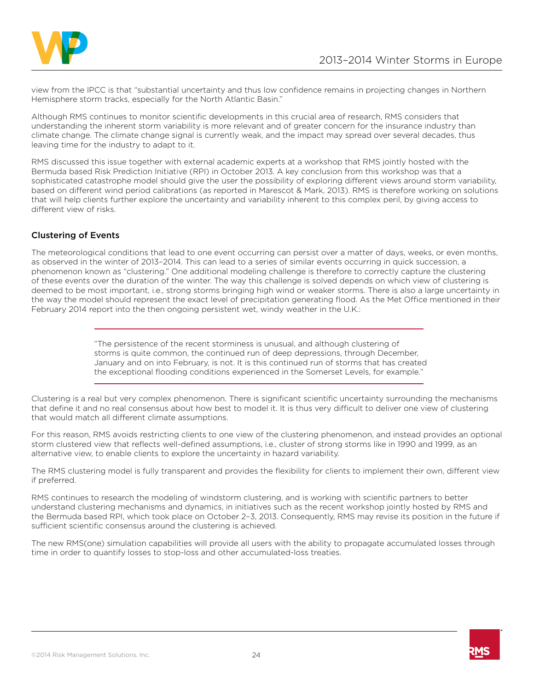

view from the IPCC is that "substantial uncertainty and thus low confidence remains in projecting changes in Northern Hemisphere storm tracks, especially for the North Atlantic Basin."

Although RMS continues to monitor scientific developments in this crucial area of research, RMS considers that understanding the inherent storm variability is more relevant and of greater concern for the insurance industry than climate change. The climate change signal is currently weak, and the impact may spread over several decades, thus leaving time for the industry to adapt to it.

RMS discussed this issue together with external academic experts at a workshop that RMS jointly hosted with the Bermuda based Risk Prediction Initiative (RPI) in October 2013. A key conclusion from this workshop was that a sophisticated catastrophe model should give the user the possibility of exploring different views around storm variability, based on different wind period calibrations (as reported in Marescot & Mark, 2013). RMS is therefore working on solutions that will help clients further explore the uncertainty and variability inherent to this complex peril, by giving access to different view of risks.

# Clustering of Events

The meteorological conditions that lead to one event occurring can persist over a matter of days, weeks, or even months, as observed in the winter of 2013–2014. This can lead to a series of similar events occurring in quick succession, a phenomenon known as "clustering." One additional modeling challenge is therefore to correctly capture the clustering of these events over the duration of the winter. The way this challenge is solved depends on which view of clustering is deemed to be most important, i.e., strong storms bringing high wind or weaker storms. There is also a large uncertainty in the way the model should represent the exact level of precipitation generating flood. As the Met Office mentioned in their February 2014 report into the then ongoing persistent wet, windy weather in the U.K.:

> "The persistence of the recent storminess is unusual, and although clustering of storms is quite common, the continued run of deep depressions, through December, January and on into February, is not. It is this continued run of storms that has created the exceptional flooding conditions experienced in the Somerset Levels, for example."

Clustering is a real but very complex phenomenon. There is significant scientific uncertainty surrounding the mechanisms that define it and no real consensus about how best to model it. It is thus very difficult to deliver one view of clustering that would match all different climate assumptions.

For this reason, RMS avoids restricting clients to one view of the clustering phenomenon, and instead provides an optional storm clustered view that reflects well-defined assumptions, i.e., cluster of strong storms like in 1990 and 1999, as an alternative view, to enable clients to explore the uncertainty in hazard variability.

The RMS clustering model is fully transparent and provides the flexibility for clients to implement their own, different view if preferred.

RMS continues to research the modeling of windstorm clustering, and is working with scientific partners to better understand clustering mechanisms and dynamics, in initiatives such as the recent workshop jointly hosted by RMS and the Bermuda based RPI, which took place on October 2–3, 2013. Consequently, RMS may revise its position in the future if sufficient scientific consensus around the clustering is achieved.

The new RMS(one) simulation capabilities will provide all users with the ability to propagate accumulated losses through time in order to quantify losses to stop-loss and other accumulated-loss treaties.

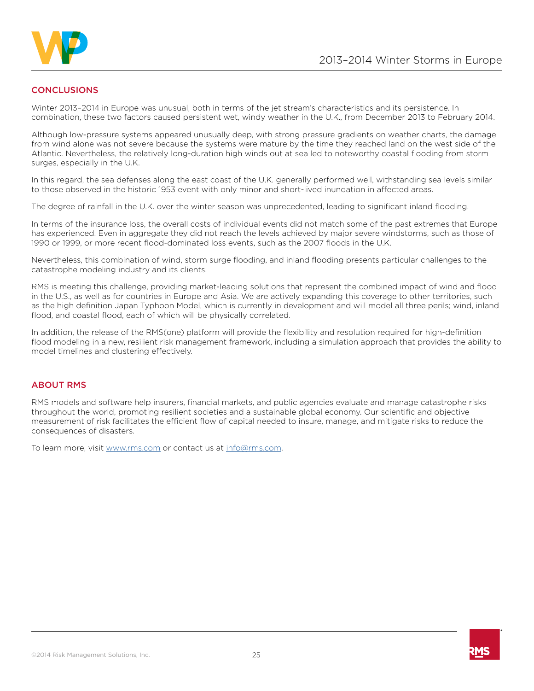

# **CONCLUSIONS**

Winter 2013–2014 in Europe was unusual, both in terms of the jet stream's characteristics and its persistence. In combination, these two factors caused persistent wet, windy weather in the U.K., from December 2013 to February 2014.

Although low-pressure systems appeared unusually deep, with strong pressure gradients on weather charts, the damage from wind alone was not severe because the systems were mature by the time they reached land on the west side of the Atlantic. Nevertheless, the relatively long-duration high winds out at sea led to noteworthy coastal flooding from storm surges, especially in the U.K.

In this regard, the sea defenses along the east coast of the U.K. generally performed well, withstanding sea levels similar to those observed in the historic 1953 event with only minor and short-lived inundation in affected areas.

The degree of rainfall in the U.K. over the winter season was unprecedented, leading to significant inland flooding.

In terms of the insurance loss, the overall costs of individual events did not match some of the past extremes that Europe has experienced. Even in aggregate they did not reach the levels achieved by major severe windstorms, such as those of 1990 or 1999, or more recent flood-dominated loss events, such as the 2007 floods in the U.K.

Nevertheless, this combination of wind, storm surge flooding, and inland flooding presents particular challenges to the catastrophe modeling industry and its clients.

RMS is meeting this challenge, providing market-leading solutions that represent the combined impact of wind and flood in the U.S., as well as for countries in Europe and Asia. We are actively expanding this coverage to other territories, such as the high definition Japan Typhoon Model, which is currently in development and will model all three perils; wind, inland flood, and coastal flood, each of which will be physically correlated.

In addition, the release of the RMS(one) platform will provide the flexibility and resolution required for high-definition flood modeling in a new, resilient risk management framework, including a simulation approach that provides the ability to model timelines and clustering effectively.

#### ABOUT RMS

RMS models and software help insurers, financial markets, and public agencies evaluate and manage catastrophe risks throughout the world, promoting resilient societies and a sustainable global economy. Our scientific and objective measurement of risk facilitates the efficient flow of capital needed to insure, manage, and mitigate risks to reduce the consequences of disasters.

To learn more, visit [www.rms.com](http://www.rms.com) or contact us at [info@rms.com.](mailto:info%40rms.com?subject=)